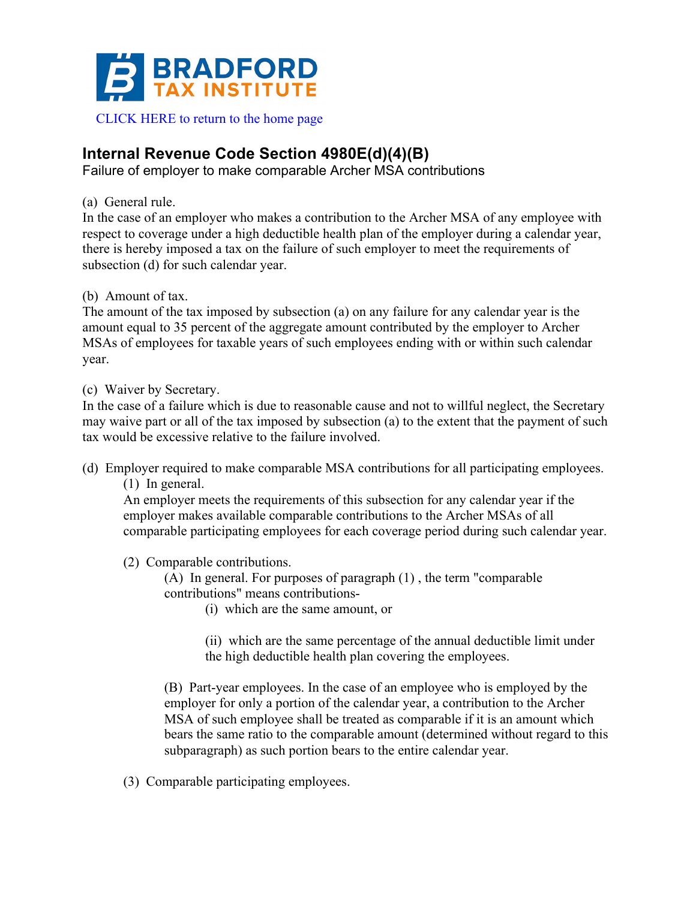

## **Internal Revenue Code Section 4980E(d)(4)(B)**

Failure of employer to make comparable Archer MSA contributions

(a) General rule.

In the case of an employer who makes a contribution to the Archer MSA of any employee with respect to coverage under a high deductible health plan of the employer during a calendar year, there is hereby imposed a tax on the failure of such employer to meet the requirements of subsection (d) for such calendar year.

## (b) Amount of tax.

The amount of the tax imposed by subsection (a) on any failure for any calendar year is the amount equal to 35 percent of the aggregate amount contributed by the employer to Archer MSAs of employees for taxable years of such employees ending with or within such calendar year.

## (c) Waiver by Secretary.

In the case of a failure which is due to reasonable cause and not to willful neglect, the Secretary may waive part or all of the tax imposed by subsection (a) to the extent that the payment of such tax would be excessive relative to the failure involved.

(d) Employer required to make comparable MSA contributions for all participating employees. (1) In general.

An employer meets the requirements of this subsection for any calendar year if the employer makes available comparable contributions to the Archer MSAs of all comparable participating employees for each coverage period during such calendar year.

(2) Comparable contributions.

(A) In general. For purposes of paragraph (1) , the term "comparable contributions" means contributions-

(i) which are the same amount, or

(ii) which are the same percentage of the annual deductible limit under the high deductible health plan covering the employees.

(B) Part-year employees. In the case of an employee who is employed by the employer for only a portion of the calendar year, a contribution to the Archer MSA of such employee shall be treated as comparable if it is an amount which bears the same ratio to the comparable amount (determined without regard to this subparagraph) as such portion bears to the entire calendar year.

(3) Comparable participating employees.